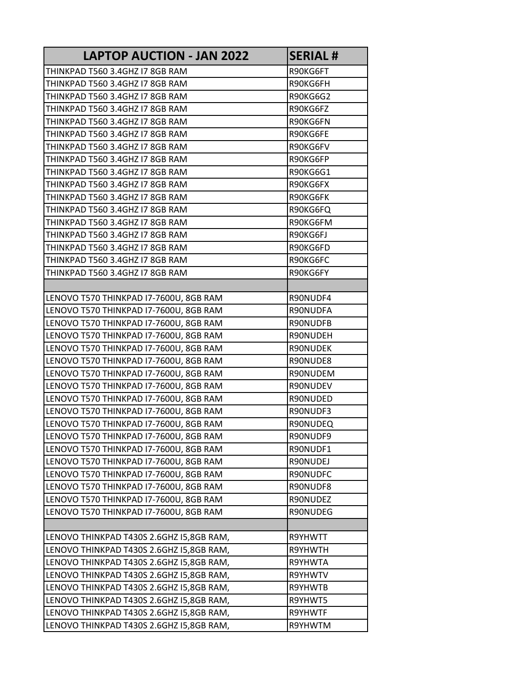| LAPTOP AUCTION - JAN 2022                | <b>SERIAL#</b>  |
|------------------------------------------|-----------------|
| THINKPAD T560 3.4GHZ I7 8GB RAM          | R90KG6FT        |
| THINKPAD T560 3.4GHZ I7 8GB RAM          | R90KG6FH        |
| THINKPAD T560 3.4GHZ I7 8GB RAM          | <b>R90KG6G2</b> |
| THINKPAD T560 3.4GHZ I7 8GB RAM          | R90KG6FZ        |
| THINKPAD T560 3.4GHZ I7 8GB RAM          | R90KG6FN        |
| THINKPAD T560 3.4GHZ I7 8GB RAM          | R90KG6FE        |
| THINKPAD T560 3.4GHZ I7 8GB RAM          | R90KG6FV        |
| THINKPAD T560 3.4GHZ I7 8GB RAM          | R90KG6FP        |
| THINKPAD T560 3.4GHZ I7 8GB RAM          | R90KG6G1        |
| THINKPAD T560 3.4GHZ I7 8GB RAM          | R90KG6FX        |
| THINKPAD T560 3.4GHZ I7 8GB RAM          | R90KG6FK        |
| THINKPAD T560 3.4GHZ I7 8GB RAM          | R90KG6FQ        |
| THINKPAD T560 3.4GHZ I7 8GB RAM          | R90KG6FM        |
| THINKPAD T560 3.4GHZ I7 8GB RAM          | R90KG6FJ        |
| THINKPAD T560 3.4GHZ I7 8GB RAM          | R90KG6FD        |
| THINKPAD T560 3.4GHZ I7 8GB RAM          | R90KG6FC        |
| THINKPAD T560 3.4GHZ I7 8GB RAM          | R90KG6FY        |
|                                          |                 |
| LENOVO T570 THINKPAD I7-7600U, 8GB RAM   | R90NUDF4        |
| LENOVO T570 THINKPAD I7-7600U, 8GB RAM   | R90NUDFA        |
| LENOVO T570 THINKPAD I7-7600U, 8GB RAM   | R90NUDFB        |
| LENOVO T570 THINKPAD I7-7600U, 8GB RAM   | R90NUDEH        |
| LENOVO T570 THINKPAD I7-7600U, 8GB RAM   | R90NUDEK        |
| LENOVO T570 THINKPAD I7-7600U, 8GB RAM   | R90NUDE8        |
| LENOVO T570 THINKPAD I7-7600U, 8GB RAM   | R90NUDEM        |
| LENOVO T570 THINKPAD I7-7600U, 8GB RAM   | R90NUDEV        |
| LENOVO T570 THINKPAD I7-7600U, 8GB RAM   | R90NUDED        |
| LENOVO T570 THINKPAD I7-7600U, 8GB RAM   | R90NUDF3        |
| LENOVO T570 THINKPAD I7-7600U, 8GB RAM   | R90NUDEQ        |
| LENOVO T570 THINKPAD I7-7600U, 8GB RAM   | R90NUDF9        |
| LENOVO T570 THINKPAD I7-7600U, 8GB RAM   | R90NUDF1        |
| LENOVO T570 THINKPAD I7-7600U, 8GB RAM   | R90NUDEJ        |
| LENOVO T570 THINKPAD I7-7600U, 8GB RAM   | R90NUDFC        |
| LENOVO T570 THINKPAD I7-7600U, 8GB RAM   | R90NUDF8        |
| LENOVO T570 THINKPAD I7-7600U, 8GB RAM   | R90NUDEZ        |
| LENOVO T570 THINKPAD I7-7600U, 8GB RAM   | R90NUDEG        |
|                                          |                 |
| LENOVO THINKPAD T430S 2.6GHZ I5,8GB RAM, | R9YHWTT         |
| LENOVO THINKPAD T430S 2.6GHZ I5,8GB RAM, | R9YHWTH         |
| LENOVO THINKPAD T430S 2.6GHZ I5,8GB RAM, | R9YHWTA         |
| LENOVO THINKPAD T430S 2.6GHZ I5,8GB RAM, | R9YHWTV         |
| LENOVO THINKPAD T430S 2.6GHZ I5,8GB RAM, | R9YHWTB         |
| LENOVO THINKPAD T430S 2.6GHZ I5,8GB RAM, | R9YHWT5         |
| LENOVO THINKPAD T430S 2.6GHZ I5,8GB RAM, | R9YHWTF         |
| LENOVO THINKPAD T430S 2.6GHZ I5,8GB RAM, | R9YHWTM         |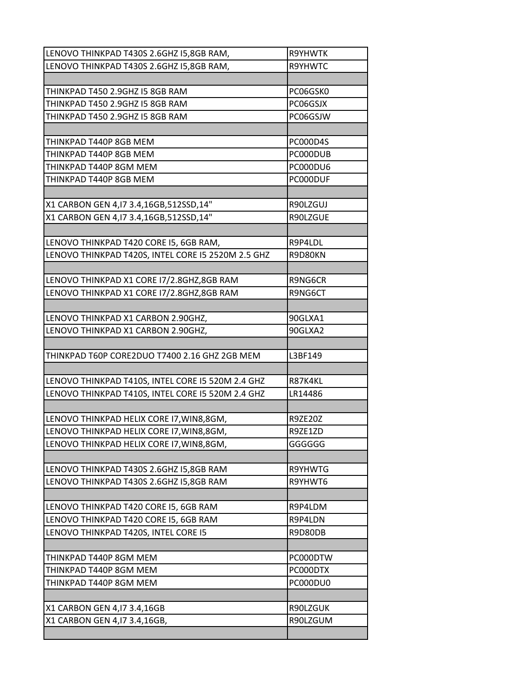| LENOVO THINKPAD T430S 2.6GHZ I5,8GB RAM,           | <b>R9YHWTK</b> |
|----------------------------------------------------|----------------|
| LENOVO THINKPAD T430S 2.6GHZ I5,8GB RAM,           | R9YHWTC        |
|                                                    |                |
| THINKPAD T450 2.9GHZ I5 8GB RAM                    | PC06GSK0       |
| THINKPAD T450 2.9GHZ I5 8GB RAM                    | PC06GSJX       |
| THINKPAD T450 2.9GHZ I5 8GB RAM                    | PC06GSJW       |
|                                                    |                |
| THINKPAD T440P 8GB MEM                             | PC000D4S       |
| THINKPAD T440P 8GB MEM                             | PC000DUB       |
| THINKPAD T440P 8GM MEM                             | PC000DU6       |
| THINKPAD T440P 8GB MEM                             | PC000DUF       |
|                                                    |                |
| X1 CARBON GEN 4,17 3.4,16GB,512SSD,14"             | R90LZGUJ       |
| X1 CARBON GEN 4,17 3.4,16GB,512SSD,14"             | R90LZGUE       |
|                                                    |                |
| LENOVO THINKPAD T420 CORE I5, 6GB RAM,             | R9P4LDL        |
| LENOVO THINKPAD T420S, INTEL CORE I5 2520M 2.5 GHZ | R9D80KN        |
|                                                    |                |
| LENOVO THINKPAD X1 CORE 17/2.8GHZ,8GB RAM          | R9NG6CR        |
| LENOVO THINKPAD X1 CORE 17/2.8GHZ,8GB RAM          | R9NG6CT        |
|                                                    |                |
| LENOVO THINKPAD X1 CARBON 2.90GHZ,                 | 90GLXA1        |
| LENOVO THINKPAD X1 CARBON 2.90GHZ,                 | 90GLXA2        |
|                                                    |                |
| THINKPAD T60P CORE2DUO T7400 2.16 GHZ 2GB MEM      | L3BF149        |
|                                                    |                |
| LENOVO THINKPAD T410S, INTEL CORE I5 520M 2.4 GHZ  | R87K4KL        |
| LENOVO THINKPAD T410S, INTEL CORE I5 520M 2.4 GHZ  | LR14486        |
|                                                    |                |
| LENOVO THINKPAD HELIX CORE 17, WIN8, 8GM,          | R9ZE20Z        |
| LENOVO THINKPAD HELIX CORE 17, WIN8, 8GM,          | R9ZE1ZD        |
| LENOVO THINKPAD HELIX CORE 17, WIN8, 8GM,          | GGGGGG         |
|                                                    |                |
| LENOVO THINKPAD T430S 2.6GHZ I5,8GB RAM            | R9YHWTG        |
| LENOVO THINKPAD T430S 2.6GHZ I5,8GB RAM            | R9YHWT6        |
|                                                    |                |
| LENOVO THINKPAD T420 CORE I5, 6GB RAM              | R9P4LDM        |
| LENOVO THINKPAD T420 CORE I5, 6GB RAM              | R9P4LDN        |
| LENOVO THINKPAD T420S, INTEL CORE I5               | R9D80DB        |
|                                                    |                |
| THINKPAD T440P 8GM MEM                             | PC000DTW       |
| THINKPAD T440P 8GM MEM                             | PC000DTX       |
| THINKPAD T440P 8GM MEM                             | PC000DU0       |
|                                                    |                |
| X1 CARBON GEN 4,17 3.4,16GB                        | R90LZGUK       |
| X1 CARBON GEN 4,17 3.4,16GB,                       | R90LZGUM       |
|                                                    |                |